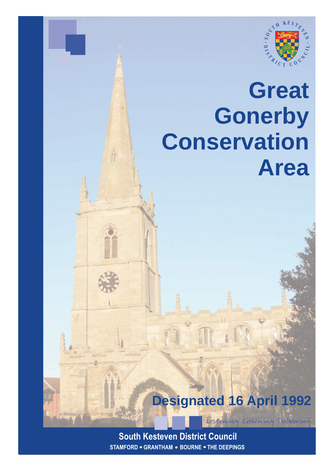

# **Great Gonerby Conservation Area**

**Designated 16 April 1992**

Eistening Learning Delivering

**South Kesteven District Council STAMFORD . GRANTHAM . BOURNE . THE DEEPINGS**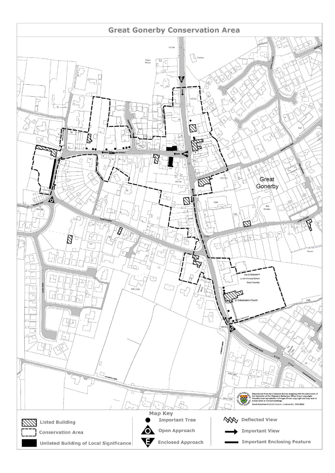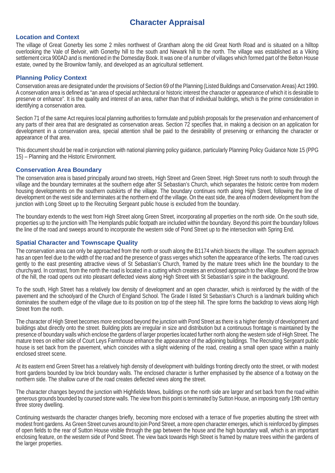# **Character Appraisal**

#### **Location and Context**

The village of Great Gonerby lies some 2 miles northwest of Grantham along the old Great North Road and is situated on a hilltop overlooking the Vale of Belvoir, with Gonerby hill to the south and Newark hill to the north. The village was established as a Viking settlement circa 900AD and is mentioned in the Domesday Book. It was one of a number of villages which formed part of the Belton House estate, owned by the Brownlow family, and developed as an agricultural settlement.

#### **Planning Policy Context**

Conservation areas are designated under the provisions of Section 69 of the Planning (Listed Buildings and Conservation Areas) Act 1990. A conservation area is defined as "an area of special architectural or historic interest the character or appearance of which it is desirable to preserve or enhance". It is the quality and interest of an area, rather than that of individual buildings, which is the prime consideration in identifying a conservation area.

Section 71 of the same Act requires local planning authorities to formulate and publish proposals for the preservation and enhancement of any parts of their area that are designated as conservation areas. Section 72 specifies that, in making a decision on an application for development in a conservation area, special attention shall be paid to the desirability of preserving or enhancing the character or appearance of that area.

This document should be read in conjunction with national planning policy guidance, particularly Planning Policy Guidance Note 15 (PPG 15) – Planning and the Historic Environment.

#### **Conservation Area Boundary**

The conservation area is based principally around two streets, High Street and Green Street. High Street runs north to south through the village and the boundary terminates at the southern edge after St Sebastian's Church, which separates the historic centre from modern housing developments on the southern outskirts of the village. The boundary continues north along High Street, following the line of development on the west side and terminates at the northern end of the village. On the east side, the area of modern development from the junction with Long Street up to the Recruiting Sergeant public house is excluded from the boundary.

The boundary extends to the west from High Street along Green Street, incorporating all properties on the north side. On the south side, properties up to the junction with The Hemplands public footpath are included within the boundary. Beyond this point the boundary follows the line of the road and sweeps around to incorporate the western side of Pond Street up to the intersection with Spring End.

#### **Spatial Character and Townscape Quality**

The conservation area can only be approached from the north or south along the B1174 which bisects the village. The southern approach has an open feel due to the width of the road and the presence of grass verges which soften the appearance of the kerbs. The road curves gently to the east presenting attractive views of St Sebastian's Church, framed by the mature trees which line the boundary to the churchyard. In contrast, from the north the road is located in a cutting which creates an enclosed approach to the village. Beyond the brow of the hill, the road opens out into pleasant deflected views along High Street with St Sebastian's spire in the background.

To the south, High Street has a relatively low density of development and an open character, which is reinforced by the width of the pavement and the schoolyard of the Church of England School. The Grade I listed St Sebastian's Church is a landmark building which dominates the southern edge of the village due to its position on top of the steep hill. The spire forms the backdrop to views along High Street from the north.

The character of High Street becomes more enclosed beyond the junction with Pond Street as there is a higher density of development and buildings abut directly onto the street. Building plots are irregular in size and distribution but a continuous frontage is maintained by the presence of boundary walls which enclose the gardens of larger properties located further north along the western side of High Street. The mature trees on either side of Court Leys Farmhouse enhance the appearance of the adjoining buildings. The Recruiting Sergeant public house is set back from the pavement, which coincides with a slight widening of the road, creating a small open space within a mainly enclosed street scene.

At its eastern end Green Street has a relatively high density of development with buildings fronting directly onto the street, or with modest front gardens bounded by low brick boundary walls. The enclosed character is further emphasised by the absence of a footway on the northern side. The shallow curve of the road creates deflected views along the street.

The character changes beyond the junction with Highfields Mews, buildings on the north side are larger and set back from the road within generous grounds bounded by coursed stone walls. The view from this point is terminated by Sutton House, an imposing early 19th century three storey dwelling.

Continuing westwards the character changes briefly, becoming more enclosed with a terrace of five properties abutting the street with modest front gardens. As Green Street curves around to join Pond Street, a more open character emerges, which is reinforced by glimpses of open fields to the rear of Sutton House visible through the gap between the house and the high boundary wall, which is an important enclosing feature, on the western side of Pond Street. The view back towards High Street is framed by mature trees within the gardens of the larger properties.